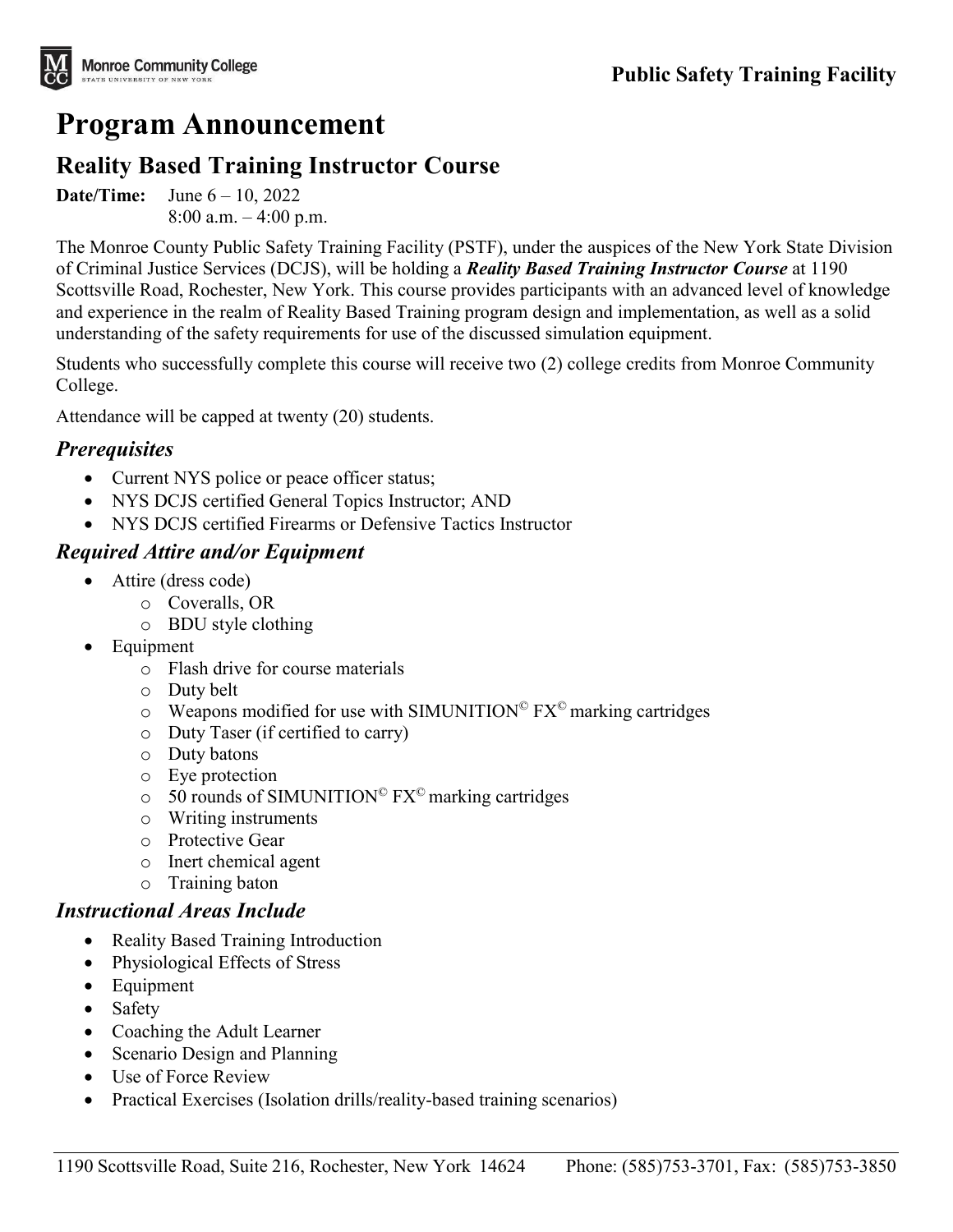

# **Program Announcement**

# **Reality Based Training Instructor Course**

**Date/Time:** June 6 – 10, 2022  $8:00$  a.m.  $-4:00$  p.m.

The Monroe County Public Safety Training Facility (PSTF), under the auspices of the New York State Division of Criminal Justice Services (DCJS), will be holding a *Reality Based Training Instructor Course* at 1190 Scottsville Road, Rochester, New York. This course provides participants with an advanced level of knowledge and experience in the realm of Reality Based Training program design and implementation, as well as a solid understanding of the safety requirements for use of the discussed simulation equipment.

Students who successfully complete this course will receive two (2) college credits from Monroe Community College.

Attendance will be capped at twenty (20) students.

#### *Prerequisites*

- Current NYS police or peace officer status;
- NYS DCJS certified General Topics Instructor; AND
- NYS DCJS certified Firearms or Defensive Tactics Instructor

#### *Required Attire and/or Equipment*

- Attire (dress code)
	- o Coveralls, OR
	- o BDU style clothing
- Equipment
	- o Flash drive for course materials
	- o Duty belt
	- $\circ$  Weapons modified for use with SIMUNITION<sup>©</sup> FX<sup>©</sup> marking cartridges
	- o Duty Taser (if certified to carry)
	- o Duty batons
	- o Eye protection
	- $\circ$  50 rounds of SIMUNITION<sup>©</sup> FX<sup>©</sup> marking cartridges
	- o Writing instruments
	- o Protective Gear
	- o Inert chemical agent
	- o Training baton

#### *Instructional Areas Include*

- Reality Based Training Introduction
- Physiological Effects of Stress
- Equipment
- Safety
- Coaching the Adult Learner
- Scenario Design and Planning
- Use of Force Review
- Practical Exercises (Isolation drills/reality-based training scenarios)